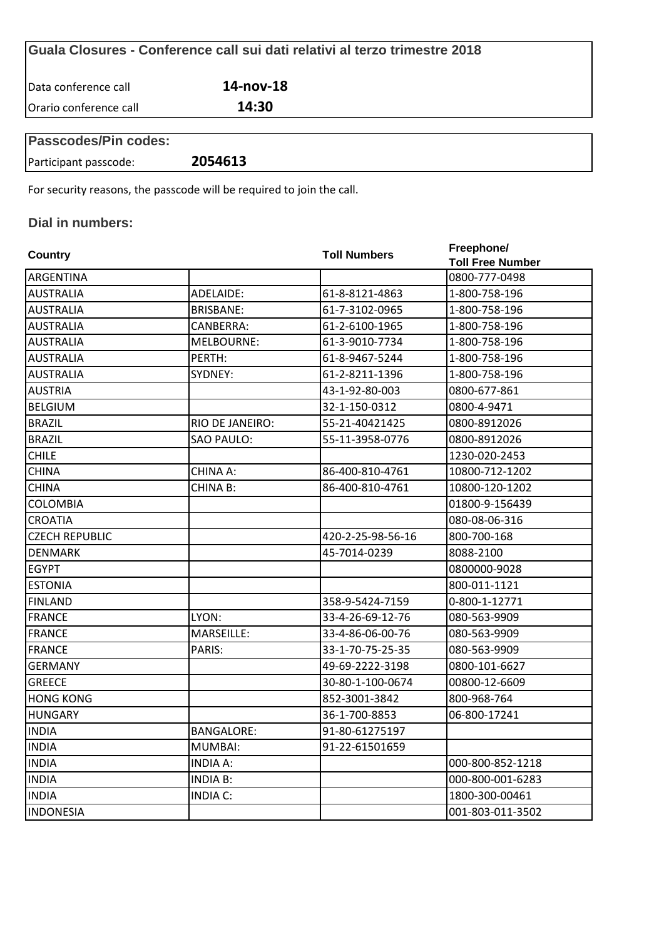|                        | Guala Closures - Conference call sui dati relativi al terzo trimestre 2018 |  |
|------------------------|----------------------------------------------------------------------------|--|
| Data conference call   | 14-nov-18                                                                  |  |
| Orario conference call | 14:30                                                                      |  |
| Passcodes/Pin codes:   |                                                                            |  |

| <b>Passcodes/Pin codes:</b> |         |  |  |
|-----------------------------|---------|--|--|
| Participant passcode:       | 2054613 |  |  |
|                             |         |  |  |

For security reasons, the passcode will be required to join the call.

## **Dial in numbers:**

| Country               |                   | <b>Toll Numbers</b> | Freephone/              |  |
|-----------------------|-------------------|---------------------|-------------------------|--|
|                       |                   |                     | <b>Toll Free Number</b> |  |
| ARGENTINA             |                   |                     | 0800-777-0498           |  |
| <b>AUSTRALIA</b>      | ADELAIDE:         | 61-8-8121-4863      | 1-800-758-196           |  |
| <b>AUSTRALIA</b>      | <b>BRISBANE:</b>  | 61-7-3102-0965      | 1-800-758-196           |  |
| <b>AUSTRALIA</b>      | CANBERRA:         | 61-2-6100-1965      | 1-800-758-196           |  |
| <b>AUSTRALIA</b>      | MELBOURNE:        | 61-3-9010-7734      | 1-800-758-196           |  |
| <b>AUSTRALIA</b>      | PERTH:            | 61-8-9467-5244      | 1-800-758-196           |  |
| <b>AUSTRALIA</b>      | SYDNEY:           | 61-2-8211-1396      | 1-800-758-196           |  |
| <b>AUSTRIA</b>        |                   | 43-1-92-80-003      | 0800-677-861            |  |
| <b>BELGIUM</b>        |                   | 32-1-150-0312       | 0800-4-9471             |  |
| <b>BRAZIL</b>         | RIO DE JANEIRO:   | 55-21-40421425      | 0800-8912026            |  |
| <b>BRAZIL</b>         | <b>SAO PAULO:</b> | 55-11-3958-0776     | 0800-8912026            |  |
| <b>CHILE</b>          |                   |                     | 1230-020-2453           |  |
| <b>CHINA</b>          | CHINA A:          | 86-400-810-4761     | 10800-712-1202          |  |
| <b>CHINA</b>          | <b>CHINA B:</b>   | 86-400-810-4761     | 10800-120-1202          |  |
| <b>COLOMBIA</b>       |                   |                     | 01800-9-156439          |  |
| <b>CROATIA</b>        |                   |                     | 080-08-06-316           |  |
| <b>CZECH REPUBLIC</b> |                   | 420-2-25-98-56-16   | 800-700-168             |  |
| <b>DENMARK</b>        |                   | 45-7014-0239        | 8088-2100               |  |
| <b>EGYPT</b>          |                   |                     | 0800000-9028            |  |
| <b>ESTONIA</b>        |                   |                     | 800-011-1121            |  |
| <b>FINLAND</b>        |                   | 358-9-5424-7159     | 0-800-1-12771           |  |
| <b>FRANCE</b>         | LYON:             | 33-4-26-69-12-76    | 080-563-9909            |  |
| <b>FRANCE</b>         | MARSEILLE:        | 33-4-86-06-00-76    | 080-563-9909            |  |
| <b>FRANCE</b>         | PARIS:            | 33-1-70-75-25-35    | 080-563-9909            |  |
| <b>GERMANY</b>        |                   | 49-69-2222-3198     | 0800-101-6627           |  |
| <b>GREECE</b>         |                   | 30-80-1-100-0674    | 00800-12-6609           |  |
| <b>HONG KONG</b>      |                   | 852-3001-3842       | 800-968-764             |  |
| <b>HUNGARY</b>        |                   | 36-1-700-8853       | 06-800-17241            |  |
| <b>INDIA</b>          | <b>BANGALORE:</b> | 91-80-61275197      |                         |  |
| <b>INDIA</b>          | MUMBAI:           | 91-22-61501659      |                         |  |
| <b>INDIA</b>          | <b>INDIA A:</b>   |                     | 000-800-852-1218        |  |
| <b>INDIA</b>          | <b>INDIA B:</b>   |                     | 000-800-001-6283        |  |
| <b>INDIA</b>          | <b>INDIA C:</b>   |                     | 1800-300-00461          |  |
| <b>INDONESIA</b>      |                   |                     | 001-803-011-3502        |  |